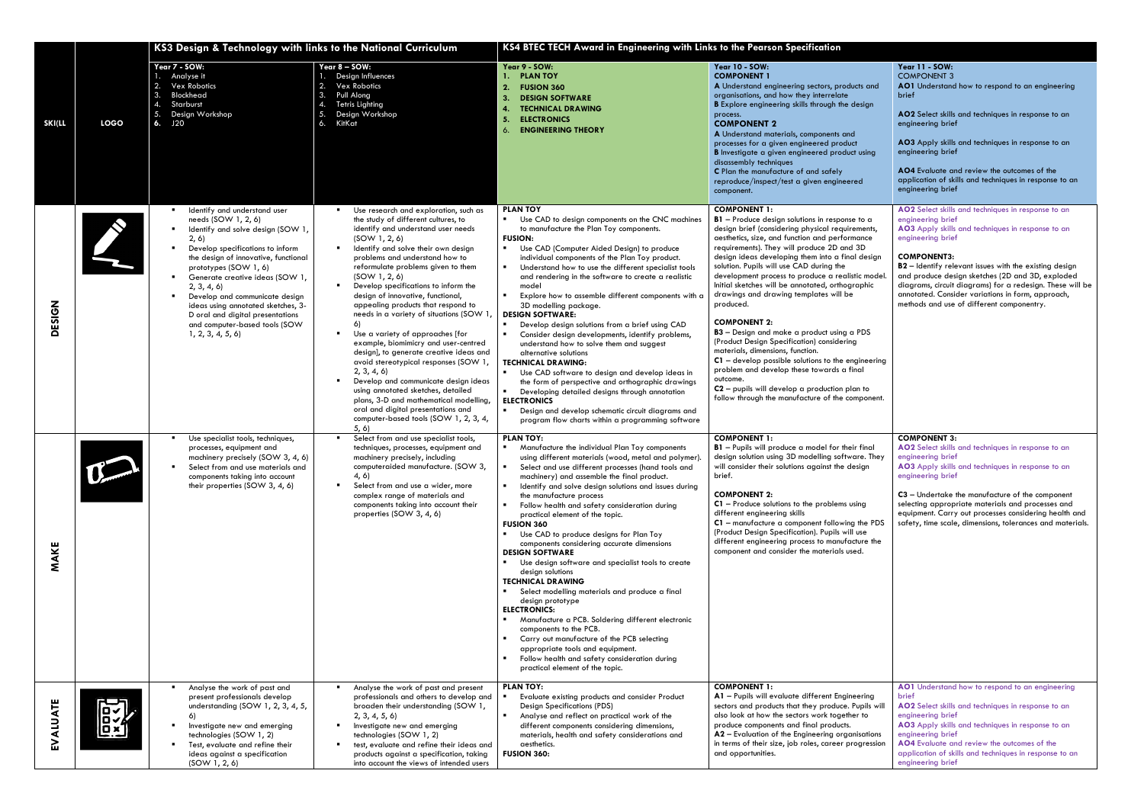|               |                         | KS3 Design & Technology with links to the National Curriculum                                                                                                                                                                                                                                                                                                                                                            |                                                                                                                                                                                                                                                                                                                                                                                                                                                                                                                                                                                                                                                                                                                                                                                                                                                      | KS4 BTEC TECH Award in Engineering with Links to the Pearson Specification                                                                                                                                                                                                                                                                                                                                                                                                                                                                                                                                                                                                                                                                                                                                                                                                                                                                                                                                                                          |                                                                                                                                                                                                                                                                                                                                                                                                                                                                                                                                                                                                                                                                                                                                                                                                                                                                           |                                                                                                                                                                                                                                                                                                                                                                                                                                                      |
|---------------|-------------------------|--------------------------------------------------------------------------------------------------------------------------------------------------------------------------------------------------------------------------------------------------------------------------------------------------------------------------------------------------------------------------------------------------------------------------|------------------------------------------------------------------------------------------------------------------------------------------------------------------------------------------------------------------------------------------------------------------------------------------------------------------------------------------------------------------------------------------------------------------------------------------------------------------------------------------------------------------------------------------------------------------------------------------------------------------------------------------------------------------------------------------------------------------------------------------------------------------------------------------------------------------------------------------------------|-----------------------------------------------------------------------------------------------------------------------------------------------------------------------------------------------------------------------------------------------------------------------------------------------------------------------------------------------------------------------------------------------------------------------------------------------------------------------------------------------------------------------------------------------------------------------------------------------------------------------------------------------------------------------------------------------------------------------------------------------------------------------------------------------------------------------------------------------------------------------------------------------------------------------------------------------------------------------------------------------------------------------------------------------------|---------------------------------------------------------------------------------------------------------------------------------------------------------------------------------------------------------------------------------------------------------------------------------------------------------------------------------------------------------------------------------------------------------------------------------------------------------------------------------------------------------------------------------------------------------------------------------------------------------------------------------------------------------------------------------------------------------------------------------------------------------------------------------------------------------------------------------------------------------------------------|------------------------------------------------------------------------------------------------------------------------------------------------------------------------------------------------------------------------------------------------------------------------------------------------------------------------------------------------------------------------------------------------------------------------------------------------------|
| <b>SKI(LL</b> | <b>LOGO</b>             | Year 7 - SOW:<br>Analyse it<br><b>Vex Robotics</b><br>Blockhead<br>Starburst<br>5.<br>Design Workshop<br>6.<br>J20                                                                                                                                                                                                                                                                                                       | Year 8 - SOW:<br>1. Design Influences<br>2.<br><b>Vex Robotics</b><br>3.<br>Pull Along<br><b>Tetris Lighting</b><br>5.<br>Design Workshop<br>6.<br>KitKat                                                                                                                                                                                                                                                                                                                                                                                                                                                                                                                                                                                                                                                                                            | Year 9 - SOW:<br><b>PLAN TOY</b><br>2.<br><b>FUSION 360</b><br><b>DESIGN SOFTWARE</b><br>-3.<br><b>TECHNICAL DRAWING</b><br><b>ELECTRONICS</b><br>-5.<br><b>ENGINEERING THEORY</b>                                                                                                                                                                                                                                                                                                                                                                                                                                                                                                                                                                                                                                                                                                                                                                                                                                                                  | <b>Year 10 - SOW:</b><br><b>COMPONENT 1</b><br>A Understand engineering sectors, products and<br>organisations, and how they interrelate<br><b>B</b> Explore engineering skills through the design<br>process.<br><b>COMPONENT 2</b><br>A Understand materials, components and<br>processes for a given engineered product<br><b>B</b> Investigate a given engineered product using<br>disassembly techniques<br>C Plan the manufacture of and safely<br>reproduce/inspect/test a given engineered<br>component.                                                                                                                                                                                                                                                                                                                                                          | Year 11 - SOW:<br><b>COMPONENT 3</b><br>AO1 Understand how to respond to an engineering<br>brief<br>AO2 Select skills and techniques in response to an<br>engineering brief<br>AO3 Apply skills and techniques in response to an<br>engineering brief<br>AO4 Evaluate and review the outcomes of the<br>application of skills and techniques in response to an<br>engineering brief                                                                  |
| ESIGN<br>Δ    |                         | Identify and understand user<br>needs (SOW 1, 2, 6)<br>Identify and solve design (SOW 1,<br>2, 6)<br>Develop specifications to inform<br>the design of innovative, functional<br>prototypes (SOW 1, 6)<br>Generate creative ideas (SOW 1,<br>2, 3, 4, 6<br>Develop and communicate design<br>ideas using annotated sketches, 3-<br>D oral and digital presentations<br>and computer-based tools (SOW<br>1, 2, 3, 4, 5, 6 | Use research and exploration, such as<br>the study of different cultures, to<br>identify and understand user needs<br>(SOW 1, 2, 6)<br>Identify and solve their own design<br>л.<br>problems and understand how to<br>reformulate problems given to them<br>(SOW 1, 2, 6)<br>Develop specifications to inform the<br>$\blacksquare$<br>design of innovative, functional,<br>appealing products that respond to<br>needs in a variety of situations (SOW 1<br>6)<br>Use a variety of approaches [for<br>example, biomimicry and user-centred<br>design], to generate creative ideas and<br>avoid stereotypical responses (SOW 1,<br>2, 3, 4, 6<br>Develop and communicate design ideas<br>using annotated sketches, detailed<br>plans, 3-D and mathematical modelling,<br>oral and digital presentations and<br>computer-based tools (SOW 1, 2, 3, 4, | <b>PLAN TOY</b><br>$\mathbf{u}$ .<br>Use CAD to design components on the CNC machines<br>to manufacture the Plan Toy components.<br><b>FUSION:</b><br>Use CAD (Computer Aided Design) to produce<br>individual components of the Plan Toy product.<br>Understand how to use the different specialist tools<br>and rendering in the software to create a realistic<br>model<br>Explore how to assemble different components with a<br>3D modelling package.<br><b>DESIGN SOFTWARE:</b><br>Develop design solutions from a brief using CAD<br>Consider design developments, identify problems,<br>understand how to solve them and suggest<br>alternative solutions<br><b>TECHNICAL DRAWING:</b><br>" Use CAD software to design and develop ideas in<br>the form of perspective and orthographic drawings<br>Developing detailed designs through annotation<br><b>ELECTRONICS</b><br>$\sim$<br>Design and develop schematic circuit diagrams and<br>program flow charts within a programming software                                                | <b>COMPONENT 1:</b><br>$B1$ – Produce design solutions in response to a<br>design brief (considering physical requirements,<br>aesthetics, size, and function and performance<br>requirements). They will produce 2D and 3D<br>design ideas developing them into a final design<br>solution. Pupils will use CAD during the<br>development process to produce a realistic model.<br>Initial sketches will be annotated, orthographic<br>drawings and drawing templates will be<br>produced.<br><b>COMPONENT 2:</b><br>B3 - Design and make a product using a PDS<br>(Product Design Specification) considering<br>materials, dimensions, function.<br>$C1$ – develop possible solutions to the engineering<br>problem and develop these towards a final<br>outcome<br>$C2$ – pupils will develop a production plan to<br>follow through the manufacture of the component. | AO2 Select skills and techniques in response to an<br>engineering brief<br>AO3 Apply skills and techniques in response to an<br>engineering brief<br><b>COMPONENT3:</b><br>B2 - Identify relevant issues with the existing design<br>and produce design sketches (2D and 3D, exploded<br>diagrams, circuit diagrams) for a redesign. These will be<br>annotated. Consider variations in form, approach,<br>methods and use of different componentry. |
| ш<br>MAKI     | $\bigcup$ and $\bigcup$ | Use specialist tools, techniques,<br>processes, equipment and<br>machinery precisely (SOW 3, 4, 6)<br>Select from and use materials and<br>components taking into account<br>their properties (SOW 3, 4, 6)                                                                                                                                                                                                              | 5, 6)<br>Select from and use specialist tools,<br>techniques, processes, equipment and<br>machinery precisely, including<br>computeraided manufacture. (SOW 3,<br>4,6)<br>Select from and use a wider, more<br>. н. н.<br>complex range of materials and<br>components taking into account their<br>properties (SOW 3, 4, 6)                                                                                                                                                                                                                                                                                                                                                                                                                                                                                                                         | <b>PLAN TOY:</b><br>• Manufacture the individual Plan Toy components<br>using different materials (wood, metal and polymer).<br>Select and use different processes (hand tools and<br>machinery) and assemble the final product.<br>Identify and solve design solutions and issues during<br>the manufacture process<br>Follow health and safety consideration during<br>a s<br>practical element of the topic.<br><b>FUSION 360</b><br>Use CAD to produce designs for Plan Toy<br>$\blacksquare$<br>components considering accurate dimensions<br><b>DESIGN SOFTWARE</b><br>Use design software and specialist tools to create<br>design solutions<br><b>TECHNICAL DRAWING</b><br>Select modelling materials and produce a final<br><b>Barbara</b><br>design prototype<br><b>ELECTRONICS:</b><br>Manufacture a PCB. Soldering different electronic<br>components to the PCB.<br>Carry out manufacture of the PCB selecting<br>appropriate tools and equipment.<br>Follow health and safety consideration during<br>practical element of the topic. | <b>COMPONENT 1:</b><br>B1 - Pupils will produce a model for their final<br>design solution using 3D modelling software. They<br>will consider their solutions against the design<br>brief.<br><b>COMPONENT 2:</b><br>$C1$ – Produce solutions to the problems using<br>different engineering skills<br>C1 - manufacture a component following the PDS<br>(Product Design Specification). Pupils will use<br>different engineering process to manufacture the<br>component and consider the materials used.                                                                                                                                                                                                                                                                                                                                                                | <b>COMPONENT 3:</b><br>AO2 Select skills and techniques in response to an<br>engineering brief<br>AO3 Apply skills and techniques in response to an<br>engineering brief<br>C3 - Undertake the manufacture of the component<br>selecting appropriate materials and processes and<br>equipment. Carry out processes considering health and<br>safety, time scale, dimensions, tolerances and materials.                                               |
| ALUATE<br>오   | <u>lased</u><br>Tax     | Analyse the work of past and<br>present professionals develop<br>understanding (SOW 1, 2, 3, 4, 5,<br>6)<br>Investigate new and emerging<br>technologies (SOW 1, 2)<br>Test, evaluate and refine their<br>ideas against a specification<br>(SOW 1, 2, 6)                                                                                                                                                                 | Analyse the work of past and present<br>professionals and others to develop and<br>broaden their understanding (SOW 1,<br>2, 3, 4, 5, 6<br>Investigate new and emerging<br>л.<br>technologies (SOW 1, 2)<br>test, evaluate and refine their ideas and<br>products against a specification, taking<br>into account the views of intended users                                                                                                                                                                                                                                                                                                                                                                                                                                                                                                        | <b>PLAN TOY:</b><br>Evaluate existing products and consider Product<br><b>Design Specifications (PDS)</b><br>Analyse and reflect on practical work of the<br>different components considering dimensions,<br>materials, health and safety considerations and<br>aesthetics.<br><b>FUSION 360:</b>                                                                                                                                                                                                                                                                                                                                                                                                                                                                                                                                                                                                                                                                                                                                                   | <b>COMPONENT 1:</b><br>A1 - Pupils will evaluate different Engineering<br>sectors and products that they produce. Pupils will<br>also look at how the sectors work together to<br>produce components and final products.<br>A2 - Evaluation of the Engineering organisations<br>in terms of their size, job roles, career progression<br>and opportunities.                                                                                                                                                                                                                                                                                                                                                                                                                                                                                                               | AO1 Understand how to respond to an engineering<br>brief<br>AO2 Select skills and techniques in response to an<br>engineering brief<br>AO3 Apply skills and techniques in response to an<br>engineering brief<br>AO4 Evaluate and review the outcomes of the<br>application of skills and techniques in response to an<br>engineering brief                                                                                                          |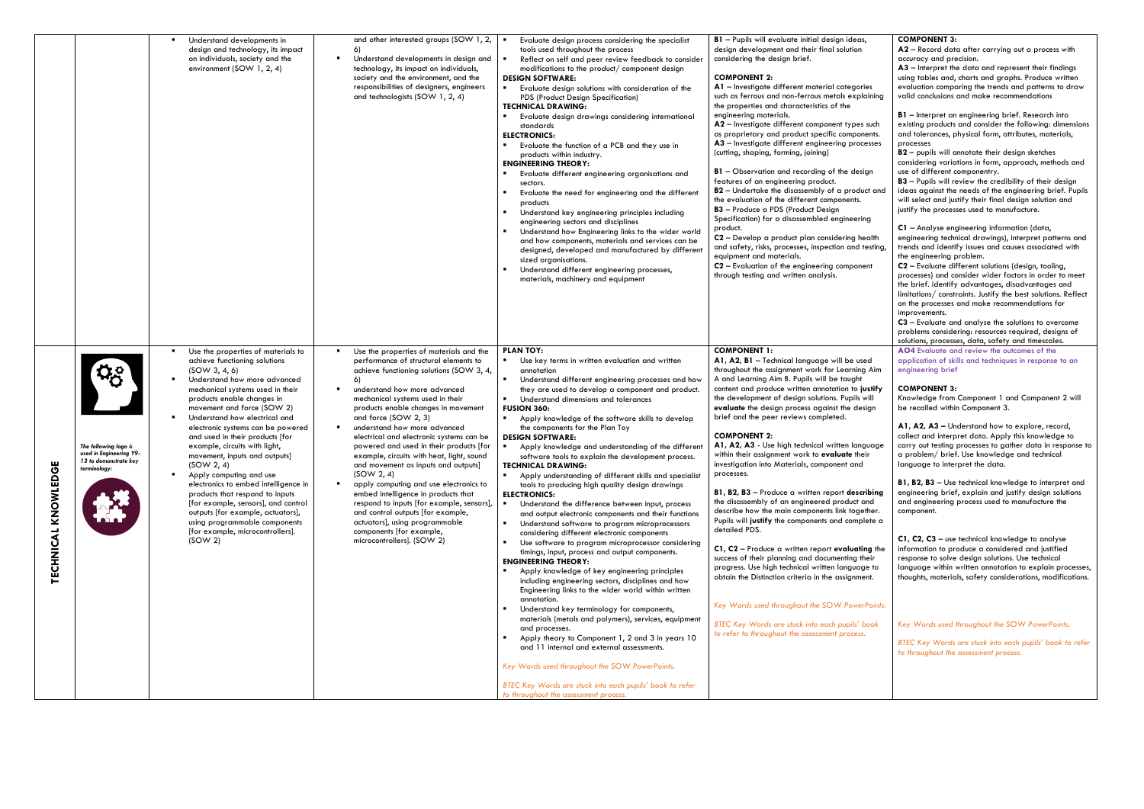|                    |                                                                                           | Understand developments in<br>design and technology, its impact<br>on individuals, society and the<br>environment (SOW 1, 2, 4)                                                                                                                                                                                                                                                                                                                                                                                                                                                                                                                                                 | and other interested groups (SOW 1, 2, 1)<br>6)<br>Understand developments in design and<br>technology, its impact on individuals,<br>society and the environment, and the<br>responsibilities of designers, engineers<br>and technologists (SOW 1, 2, 4)                                                                                                                                                                                                                                                                                                                                                                                                                                                                                                    | Evaluate design process considering the specialist<br>tools used throughout the process<br>Reflect on self and peer review feedback to consider<br>modifications to the product/ component design<br><b>DESIGN SOFTWARE:</b><br>$\blacksquare$<br>Evaluate design solutions with consideration of the<br>PDS (Product Design Specification)<br><b>TECHNICAL DRAWING:</b><br>Evaluate design drawings considering international<br>standards<br><b>ELECTRONICS:</b><br>$\blacksquare$<br>Evaluate the function of a PCB and they use in<br>products within industry.<br><b>ENGINEERING THEORY:</b><br>Evaluate different engineering organisations and<br>sectors.<br>Evaluate the need for engineering and the different<br>products<br>Understand key engineering principles including<br>engineering sectors and disciplines<br>Understand how Engineering links to the wider world<br>and how components, materials and services can be<br>designed, developed and manufactured by different<br>sized organisations.<br>Understand different engineering processes,<br>materials, machinery and equipment                                                                                                                                                                                                                                                                                                                                                                                                                                                                                                                                                              | B1 - Pupils will evaluate initial design ideas,<br>design development and their final solution<br>considering the design brief.<br><b>COMPONENT 2:</b><br>A1 - Investigate different material categories<br>such as ferrous and non-ferrous metals explaining<br>the properties and characteristics of the<br>engineering materials.<br>A2 - Investigate different component types such<br>as proprietary and product specific components.<br>A3 - Investigate different engineering processes<br>(cutting, shaping, forming, joining)<br><b>B1</b> - Observation and recording of the design<br>features of an engineering product.<br>B2 - Undertake the disassembly of a product and<br>the evaluation of the different components.<br><b>B3</b> - Produce a PDS (Product Design<br>Specification) for a disassembled engineering<br>product.<br>C2 - Develop a product plan considering health<br>and safety, risks, processes, inspection and testing,<br>equipment and materials.<br>C2 - Evaluation of the engineering component<br>through testing and written analysis.                                                                                                |
|--------------------|-------------------------------------------------------------------------------------------|---------------------------------------------------------------------------------------------------------------------------------------------------------------------------------------------------------------------------------------------------------------------------------------------------------------------------------------------------------------------------------------------------------------------------------------------------------------------------------------------------------------------------------------------------------------------------------------------------------------------------------------------------------------------------------|--------------------------------------------------------------------------------------------------------------------------------------------------------------------------------------------------------------------------------------------------------------------------------------------------------------------------------------------------------------------------------------------------------------------------------------------------------------------------------------------------------------------------------------------------------------------------------------------------------------------------------------------------------------------------------------------------------------------------------------------------------------|---------------------------------------------------------------------------------------------------------------------------------------------------------------------------------------------------------------------------------------------------------------------------------------------------------------------------------------------------------------------------------------------------------------------------------------------------------------------------------------------------------------------------------------------------------------------------------------------------------------------------------------------------------------------------------------------------------------------------------------------------------------------------------------------------------------------------------------------------------------------------------------------------------------------------------------------------------------------------------------------------------------------------------------------------------------------------------------------------------------------------------------------------------------------------------------------------------------------------------------------------------------------------------------------------------------------------------------------------------------------------------------------------------------------------------------------------------------------------------------------------------------------------------------------------------------------------------------------------------------------------------------------------------------------------|---------------------------------------------------------------------------------------------------------------------------------------------------------------------------------------------------------------------------------------------------------------------------------------------------------------------------------------------------------------------------------------------------------------------------------------------------------------------------------------------------------------------------------------------------------------------------------------------------------------------------------------------------------------------------------------------------------------------------------------------------------------------------------------------------------------------------------------------------------------------------------------------------------------------------------------------------------------------------------------------------------------------------------------------------------------------------------------------------------------------------------------------------------------------------------|
| TECHNICAL KNOWLEDG | The following logo is<br>used in Engineering Y9-<br>13 to demonstrate key<br>terminology: | Use the properties of materials to<br>achieve functioning solutions<br>(SOW 3, 4, 6)<br>Understand how more advanced<br>mechanical systems used in their<br>products enable changes in<br>movement and force (SOW 2)<br>Understand how electrical and<br>electronic systems can be powered<br>and used in their products [for<br>example, circuits with light,<br>movement, inputs and outputs]<br>(SOW 2, 4)<br>Apply computing and use<br>electronics to embed intelligence in<br>products that respond to inputs<br>[for example, sensors], and control<br>outputs [for example, actuators],<br>using programmable components<br>[for example, microcontrollers].<br>(SOW 2) | Use the properties of materials and the<br>performance of structural elements to<br>achieve functioning solutions (SOW 3, 4,<br>6)<br>understand how more advanced<br>mechanical systems used in their<br>products enable changes in movement<br>and force (SOW 2, 3)<br>understand how more advanced<br>electrical and electronic systems can be<br>powered and used in their products [for<br>example, circuits with heat, light, sound<br>and movement as inputs and outputs<br>(SOW 2, 4)<br>apply computing and use electronics to<br>embed intelligence in products that<br>respond to inputs [for example, sensors],<br>and control outputs [for example,<br>actuators], using programmable<br>components [for example,<br>microcontrollers]. (SOW 2) | <b>PLAN TOY:</b><br>Use key terms in written evaluation and written<br>annotation<br>Understand different engineering processes and how<br>٠<br>they are used to develop a component and product.<br>$\blacksquare$<br>Understand dimensions and tolerances<br><b>FUSION 360:</b><br>Apply knowledge of the software skills to develop<br>the components for the Plan Toy<br><b>DESIGN SOFTWARE:</b><br>Apply knowledge and understanding of the different<br>software tools to explain the development process.<br><b>TECHNICAL DRAWING:</b><br>$\blacksquare$<br>Apply understanding of different skills and specialist<br>tools to producing high quality design drawings<br><b>ELECTRONICS:</b><br>$\blacksquare$<br>Understand the difference between input, process<br>and output electronic components and their functions<br>Understand software to program microprocessors<br>considering different electronic components<br>$\blacksquare$<br>Use software to program microprocessor considering<br>timings, input, process and output components.<br><b>ENGINEERING THEORY:</b><br>$\blacksquare$<br>Apply knowledge of key engineering principles<br>including engineering sectors, disciplines and how<br>Engineering links to the wider world within written<br>annotation.<br>Understand key terminology for components,<br>materials (metals and polymers), services, equipment<br>and processes.<br>Apply theory to Component 1, 2 and 3 in years 10<br>and 11 internal and external assessments.<br>Key Words used throughout the SOW PowerPoints.<br>BTEC Key Words are stuck into each pupils' book to refer<br>to throughout the assessment process. | <b>COMPONENT 1:</b><br>A1, A2, B1 - Technical language will be used<br>throughout the assignment work for Learning Aim<br>A and Learning Aim B. Pupils will be taught<br>content and produce written annotation to justify<br>the development of design solutions. Pupils will<br>evaluate the design process against the design<br>brief and the peer reviews completed.<br><b>COMPONENT 2:</b><br>A1, A2, A3 - Use high technical written language<br>within their assignment work to evaluate their<br>investigation into Materials, component and<br>processes.<br>B1, B2, B3 - Produce a written report describing<br>the disassembly of an engineered product and<br>describe how the main components link together.<br>Pupils will justify the components and complete a<br>detailed PDS.<br>C1, C2 - Produce a written report evaluating the<br>success of their planning and documenting their<br>progress. Use high technical written language to<br>obtain the Distinction criteria in the assignment.<br>Key Words used throughout the SOW PowerPoints.<br><b>BTEC Key Words are stuck into each pupils' book</b><br>to refer to throughout the assessment process. |

| ï,                    | <b>COMPONENT 3:</b>                                                                                                   |
|-----------------------|-----------------------------------------------------------------------------------------------------------------------|
|                       | $A2$ – Record data after carrying out a process with                                                                  |
|                       | accuracy and precision.<br>$A3$ – Interpret the data and represent their findings                                     |
|                       | using tables and, charts and graphs. Produce written                                                                  |
| ies                   | evaluation comparing the trends and patterns to draw                                                                  |
| aining                | valid conclusions and make recommendations                                                                            |
|                       |                                                                                                                       |
| such                  | <b>B1</b> - Interpret an engineering brief. Research into<br>existing products and consider the following: dimensions |
| ents.                 | and tolerances, physical form, attributes, materials,                                                                 |
| esses                 | processes                                                                                                             |
|                       | <b>B2</b> - pupils will annotate their design sketches                                                                |
| gn                    | considering variations in form, approach, methods and<br>use of different componentry.                                |
|                       | B3 - Pupils will review the credibility of their design                                                               |
| ct and                | ideas against the needs of the engineering brief. Pupils                                                              |
|                       | will select and justify their final design solution and                                                               |
|                       | justify the processes used to manufacture.                                                                            |
| ٦g                    | C1 - Analyse engineering information (data,                                                                           |
| ealth:                | engineering technical drawings), interpret patterns and                                                               |
| esting,               | trends and identify issues and causes associated with                                                                 |
|                       | the engineering problem.                                                                                              |
| ent                   | C2 - Evaluate different solutions (design, tooling,<br>processes) and consider wider factors in order to meet         |
|                       | the brief. identify advantages, disadvantages and                                                                     |
|                       | limitations/constraints. Justify the best solutions. Reflect                                                          |
|                       | on the processes and make recommendations for                                                                         |
|                       | improvements.<br>C3 - Evaluate and analyse the solutions to overcome                                                  |
|                       | problems considering: resources required, designs of                                                                  |
|                       | solutions, processes, data, safety and timescales.                                                                    |
|                       | AO4 Evaluate and review the outcomes of the                                                                           |
| ed<br>j Aim           | application of skills and techniques in response to an<br>engineering brief                                           |
|                       |                                                                                                                       |
| ustify                | <b>COMPONENT 3:</b>                                                                                                   |
| will                  | Knowledge from Component 1 and Component 2 will<br>be recalled within Component 3.                                    |
| sign                  |                                                                                                                       |
|                       | A1, A2, A3 - Understand how to explore, record,                                                                       |
|                       | collect and interpret data. Apply this knowledge to                                                                   |
| juage                 | carry out testing processes to gather data in response to                                                             |
| ۱ir                   | a problem/ brief. Use knowledge and technical<br>language to interpret the data.                                      |
|                       |                                                                                                                       |
|                       | <b>B1, B2, B3</b> - Use technical knowledge to interpret and                                                          |
| ribing<br>ınd         | engineering brief, explain and justify design solutions                                                               |
| ther.                 | and engineering process used to manufacture the<br>component.                                                         |
| lete a                |                                                                                                                       |
|                       |                                                                                                                       |
|                       | C1, C2, C3 - use technical knowledge to analyse<br>information to produce a considered and justified                  |
| <b>ng</b> the<br>ıeir | response to solve design solutions. Use technical                                                                     |
| ie to                 | language within written annotation to explain processes,                                                              |
| ent.                  | thoughts, materials, safety considerations, modifications.                                                            |
|                       |                                                                                                                       |
| Points.               |                                                                                                                       |
|                       |                                                                                                                       |
| ook                   | Key Words used throughout the SOW PowerPoints.                                                                        |
|                       | BTEC Key Words are stuck into each pupils' book to refer                                                              |
|                       | to throughout the assessment process.                                                                                 |
|                       |                                                                                                                       |
|                       |                                                                                                                       |
|                       |                                                                                                                       |
|                       |                                                                                                                       |